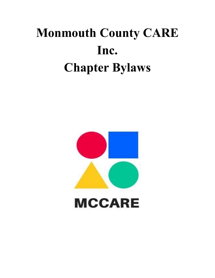# **Monmouth County CARE Inc. Chapter Bylaws**

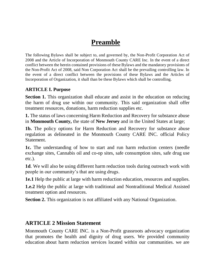# **Preamble**

The following Bylaws shall be subject to, and governed by, the Non-Profit Corporation Act of 2008 and the Article of Incorporation of Monmouth County CARE Inc. In the event of a direct conflict between the herein contained provisions of these Bylaws and the mandatory provisions of the Non-Profit Act of 2008, said Non Corporation Act shall be the prevailing controlling law. In the event of a direct conflict between the provisions of these Bylaws and the Articles of Incorporation of Organization, it shall than be these Bylaws which shall be controlling.

#### **ARTICLE I. Purpose**

**Section 1.** This organization shall educate and assist in the education on reducing the harm of drug use within our community. This said organization shall offer treatment resources, donations, harm reduction supplies etc.

**1.** The status of laws concerning Harm Reduction and Recovery for substance abuse in **Monmouth County,** the state of **New Jersey** and in the United States at large;

**1b.** The policy options for Harm Reduction and Recovery for substance abuse regulation as delineated in the Monmouth County CARE INC. official Policy Statement.

**1c.** The understanding of how to start and run harm reduction centers (needle exchange sites, Cannabis oil and co-op sites, safe consumption sites, safe drug use etc.).

**1d**. We will also be using different harm reduction tools during outreach work with people in our community's that are using drugs.

**1e.1** Help the public at large with harm reduction education, resources and supplies.

**1.e.2** Help the public at large with traditional and Nontraditional Medical Assisted treatment option and resources.

**Section 2.** This organization is not affiliated with any National Organization.

# **ARTICLE 2 Mission Statement**

Monmouth County CARE INC. is a Non-Profit grassroots advocacy organization that promotes the health and dignity of drug users. We provided community education about harm reduction services located within our communities. we are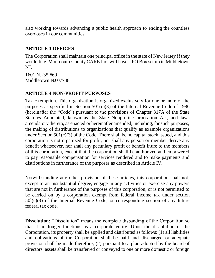also working towards advancing a public health approach to ending the countless overdoses in our communities.

#### **ARTICLE 3 OFFICES**

The Corporation shall maintain one principal office in the state of New Jersey if they would like. Monmouth County CARE Inc. will have a PO Box set up in Middletown NJ.

1601 NJ-35 #69 Middletown NJ 07748

#### **ARTICLE 4 NON-PROFIT PURPOSES**

Tax Exemption. This organization is organized exclusively for one or more of the purposes as specified in Section 501(c)(3) of the Internal Revenue Code of 1986 (hereinafter the "Code") pursuant to the provisions of Chapter 317A of the State Statutes Annotated, known as the State Nonprofit Corporation Act, and laws amendatory thereto, as enacted or hereinafter amended, including, for such purposes, the making of distributions to organizations that qualify as example organizations under Section  $501(c)(3)$  of the Code. There shall be no capital stock issued, and this corporation is not organized for profit, nor shall any person or member derive any benefit whatsoever, nor shall any pecuniary profit or benefit inure to the members of this corporation, except that the corporation shall be authorized and empowered to pay reasonable compensation for services rendered and to make payments and distributions in furtherance of the purposes as described in Article IV.

Notwithstanding any other provision of these articles, this corporation shall not, except to an insubstantial degree, engage in any activities or exercise any powers that are not in furtherance of the purposes of this corporation, or is not permitted to be carried on by a corporation exempt from federal income tax under section 50l(c)(3) of the Internal Revenue Code, or corresponding section of any future federal tax code.

**Dissolution:** "Dissolution" means the complete disbanding of the Corporation so that it no longer functions as a corporate entity. Upon the dissolution of the Corporation, its property shall be applied and distributed as follows: (1) all liabilities and obligations of the Corporation shall be paid and discharged or adequate provision shall be made therefore; (2) pursuant to a plan adopted by the board of directors, assets shall be transferred or conveyed to one or more domestic or foreign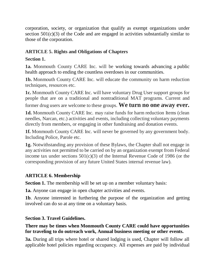corporation, society, or organization that qualify as exempt organizations under section 501(c)(3) of the Code and are engaged in activities substantially similar to those of the corporation.

# **ARTICLE 5. Rights and Obligations of Chapters**

# **Section 1.**

**1a.** Monmouth County CARE Inc. will be working towards advancing a public health approach to ending the countless overdoses in our communities.

**1b.** Monmouth County CARE Inc. will educate the community on harm reduction techniques, resources etc.

**1c.** Monmouth County CARE Inc. will have voluntary Drug User support groups for people that are on a traditional and nontraditional MAT programs. Current and former drug users are welcome to these groups. **We turn no one away ever.**

**1d.** Monmouth County CARE Inc. may raise funds for harm reduction Items (clean needles, Narcan, etc.) activities and events, including collecting voluntary payments directly from members, or engaging in other fundraising and donation events.

**1f.** Monmouth County CARE Inc. will never be governed by any government body. Including Police, Parole etc.

**1g.** Notwithstanding any provision of these Bylaws, the Chapter shall not engage in any activities not permitted to be carried on by an organization exempt from Federal income tax under sections  $501(c)(3)$  of the Internal Revenue Code of 1986 (or the corresponding provision of any future United States internal revenue law).

# **ARTICLE 6. Membership**

**Section 1.** The membership will be set up on a member voluntary basis:

**1a.** Anyone can engage in open chapter activities and events.

**1b**. Anyone interested in furthering the purpose of the organization and getting involved can do so at any time on a voluntary basis.

# **Section 3. Travel Guidelines.**

#### **There may be times when Monmouth County CARE could have opportunities for traveling to do outreach work, Annual business meeting or other events.**

**3a.** During all trips where hotel or shared lodging is used, Chapter will follow all applicable hotel policies regarding occupancy. All expenses are paid by individual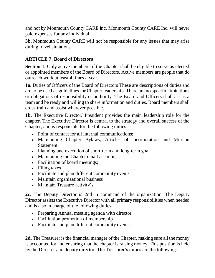and not by Monmouth County CARE Inc. Monmouth County CARE Inc. will never paid expenses for any individual.

**3b.** Monmouth County CARE will not be responsible for any issues that may arise during travel situations.

#### **ARTICLE 7. Board of Directors**

**Section 1.** Only active members of the Chapter shall be eligible to serve as elected or appointed members of the Board of Directors. Active members are people that do outreach work at least 4 times a year.

**1a.** Duties of Officers of the Board of Directors These are descriptions of duties and are to be used as guidelines for Chapter leadership. There are no specific limitations or obligations of responsibility or authority. The Board and Officers shall act as a team and be ready and willing to share information and duties. Board members shall cross-train and assist wherever possible.

**1b.** The Executive Director/ President provides the main leadership role for the chapter. The Executive Director is central to the strategy and overall success of the Chapter, and is responsible for the following duties:

- Point of contact for all internal communications:
- Maintaining Chapter Bylaws, Articles of Incorporation and Mission **Statement**
- Planning and execution of short-term and long-term goal
- Maintaining the Chapter email account;
- Facilitation of board meetings;
- Filing taxes
- Facilitate and plan different community events
- Maintain organizational business
- Maintain Treasure activity's

**2c**. The Deputy Director is 2nd in command of the organization. The Deputy Director assists the Executive Director with all primary responsibilities when needed and is also in charge of the following duties:

- Preparing Annual meeting agenda with director
- Facilitation promotion of membership
- Facilitate and plan different community events

**2d.** The Treasurer is the financial manager of the Chapter, making sure all the money is accounted for and ensuring that the chapter is raising money. This position is held by the Director and deputy director. The Treasurer's duties are the following: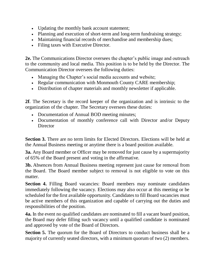- Updating the monthly bank account statement;
- Planning and execution of short-term and long-term fundraising strategy;
- Maintaining financial records of merchandise and membership dues;
- Filing taxes with Executive Director.

**2e.** The Communications Director oversees the chapter's public image and outreach to the community and local media. This position is to be held by the Director. The Communication Director oversees the following duties:

- Managing the Chapter's social media accounts and website;
- Regular communication with Monmouth County CARE membership;
- Distribution of chapter materials and monthly newsletter if applicable.

**2f**. The Secretary is the record keeper of the organization and is intrinsic to the organization of the chapter. The Secretary oversees these duties:

- Documentation of Annual BOD meeting minutes;
- Documentation of monthly conference call with Director and/or Deputy **Director**

**Section 3.** There are no term limits for Elected Directors. Elections will be held at the Annual Business meeting or anytime there is a board position available.

**3a.** Any Board member or Officer may be removed for just cause by a supermajority of 65% of the Board present and voting in the affirmative.

**3b.** Absences from Annual Business meeting represent just cause for removal from the Board. The Board member subject to removal is not eligible to vote on this matter.

**Section 4.** Filling Board vacancies: Board members may nominate candidates immediately following the vacancy. Elections may also occur at this meeting or be scheduled for the first available opportunity. Candidates to fill Board vacancies must be active members of this organization and capable of carrying out the duties and responsibilities of the position.

**4a.** In the event no qualified candidates are nominated to fill a vacant board position, the Board may defer filling such vacancy until a qualified candidate is nominated and approved by vote of the Board of Directors.

**Section 5.** The quorum for the Board of Directors to conduct business shall be a majority of currently seated directors, with a minimum quorum of two (2) members.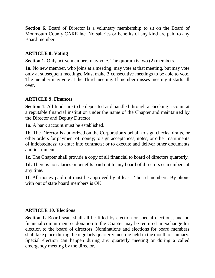**Section 6.** Board of Director is a voluntary membership to sit on the Board of Monmouth County CARE Inc. No salaries or benefits of any kind are paid to any Board member.

#### **ARTICLE 8. Voting**

**Section 1.** Only active members may vote. The quorum is two (2) members.

**1a.** No new member, who joins at a meeting, may vote at that meeting, but may vote only at subsequent meetings. Must make 3 consecutive meetings to be able to vote. The member may vote at the Third meeting. If member misses meeting it starts all over.

#### **ARTICLE 9. Finances**

**Section 1.** All funds are to be deposited and handled through a checking account at a reputable financial institution under the name of the Chapter and maintained by the Director and Deputy Director.

**1a.** A bank account must be established.

**1b.** The Director is authorized on the Corporation's behalf to sign checks, drafts, or other orders for payment of money; to sign acceptances, notes, or other instruments of indebtedness; to enter into contracts; or to execute and deliver other documents and instruments.

**1c.** The Chapter shall provide a copy of all financial to board of directors quarterly.

**1d.** There is no salaries or benefits paid out to any board of directors or members at any time.

**1f.** All money paid out must be approved by at least 2 board members. By phone with out of state board members is OK.

#### **ARTICLE 10. Elections**

**Section 1.** Board seats shall all be filled by election or special elections, and no financial commitment or donation to the Chapter may be required in exchange for election to the board of directors. Nominations and elections for board members shall take place during the regularly quarterly meeting held in the month of January. Special election can happen during any quarterly meeting or during a called emergency meeting by the director.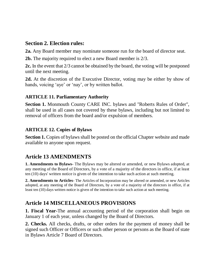# **Section 2. Election rules:**

**2a.** Any Board member may nominate someone run for the board of director seat.

**2b.** The majority required to elect a new Board member is 2/3.

**2c.** In the event that 2/3 cannot be obtained by the board, the voting will be postponed until the next meeting.

**2d.** At the discretion of the Executive Director, voting may be either by show of hands, voicing 'aye' or 'nay', or by written ballot.

#### **ARTICLE 11. Parliamentary Authority**

**Section 1.** Monmouth County CARE INC. bylaws and "Roberts Rules of Order", shall be used in all cases not covered by these bylaws, including but not limited to removal of officers from the board and/or expulsion of members.

#### **ARTICLE 12. Copies of Bylaws**

**Section 1.** Copies of bylaws shall be posted on the official Chapter website and made available to anyone upon request.

# **Article 13 AMENDMENTS**

**1. Amendments to Bylaws-** The Bylaws may be altered or amended, or new Bylaws adopted, at any meeting of the Board of Directors, by a vote of a majority of the directors in office, if at least ten (10) days' written notice is given of the intention to take such action at such meeting.

**2. Amendments to Articles**- The Articles of Incorporation may be altered or amended, or new Articles adopted, at any meeting of the Board of Directors, by a vote of a majority of the directors in office, if at least ten (10) days written notice is given of the intention to take such action at such meeting.

# **Article 14 MISCELLANEOUS PROVISIONS**

**1. Fiscal Year-**The annual accounting period of the corporation shall begin on January 1 of each year, unless changed by the Board of Directors.

**2. Checks.** All checks, drafts, or other orders for the payment of money shall be signed such Officer or Officers or such other person or persons as the Board of state in Bylaws Article 7 Board of Directors.